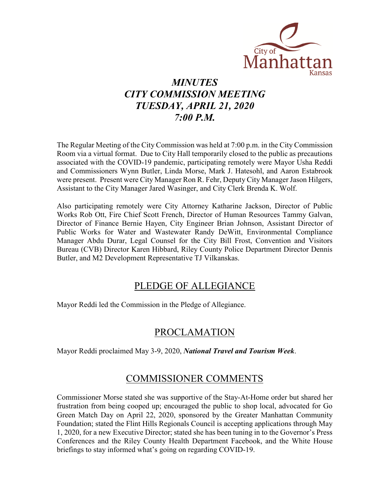

# *MINUTES CITY COMMISSION MEETING TUESDAY, APRIL 21, 2020 7:00 P.M.*

The Regular Meeting of the City Commission was held at 7:00 p.m. in the City Commission Room via a virtual format. Due to City Hall temporarily closed to the public as precautions associated with the COVID-19 pandemic, participating remotely were Mayor Usha Reddi and Commissioners Wynn Butler, Linda Morse, Mark J. Hatesohl, and Aaron Estabrook were present. Present were City Manager Ron R. Fehr, Deputy City Manager Jason Hilgers, Assistant to the City Manager Jared Wasinger, and City Clerk Brenda K. Wolf.

Also participating remotely were City Attorney Katharine Jackson, Director of Public Works Rob Ott, Fire Chief Scott French, Director of Human Resources Tammy Galvan, Director of Finance Bernie Hayen, City Engineer Brian Johnson, Assistant Director of Public Works for Water and Wastewater Randy DeWitt, Environmental Compliance Manager Abdu Durar, Legal Counsel for the City Bill Frost, Convention and Visitors Bureau (CVB) Director Karen Hibbard, Riley County Police Department Director Dennis Butler, and M2 Development Representative TJ Vilkanskas.

### PLEDGE OF ALLEGIANCE

Mayor Reddi led the Commission in the Pledge of Allegiance.

## PROCLAMATION

Mayor Reddi proclaimed May 3-9, 2020, *National Travel and Tourism Week*.

## COMMISSIONER COMMENTS

Commissioner Morse stated she was supportive of the Stay-At-Home order but shared her frustration from being cooped up; encouraged the public to shop local, advocated for Go Green Match Day on April 22, 2020, sponsored by the Greater Manhattan Community Foundation; stated the Flint Hills Regionals Council is accepting applications through May 1, 2020, for a new Executive Director; stated she has been tuning in to the Governor's Press Conferences and the Riley County Health Department Facebook, and the White House briefings to stay informed what's going on regarding COVID-19.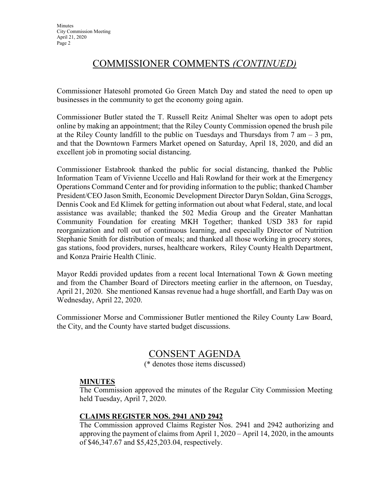## COMMISSIONER COMMENTS *(CONTINUED)*

Commissioner Hatesohl promoted Go Green Match Day and stated the need to open up businesses in the community to get the economy going again.

Commissioner Butler stated the T. Russell Reitz Animal Shelter was open to adopt pets online by making an appointment; that the Riley County Commission opened the brush pile at the Riley County landfill to the public on Tuesdays and Thursdays from  $7 \text{ am} - 3 \text{ pm}$ , and that the Downtown Farmers Market opened on Saturday, April 18, 2020, and did an excellent job in promoting social distancing.

Commissioner Estabrook thanked the public for social distancing, thanked the Public Information Team of Vivienne Uccello and Hali Rowland for their work at the Emergency Operations Command Center and for providing information to the public; thanked Chamber President/CEO Jason Smith, Economic Development Director Daryn Soldan, Gina Scroggs, Dennis Cook and Ed Klimek for getting information out about what Federal, state, and local assistance was available; thanked the 502 Media Group and the Greater Manhattan Community Foundation for creating MKH Together; thanked USD 383 for rapid reorganization and roll out of continuous learning, and especially Director of Nutrition Stephanie Smith for distribution of meals; and thanked all those working in grocery stores, gas stations, food providers, nurses, healthcare workers, Riley County Health Department, and Konza Prairie Health Clinic.

Mayor Reddi provided updates from a recent local International Town & Gown meeting and from the Chamber Board of Directors meeting earlier in the afternoon, on Tuesday, April 21, 2020. She mentioned Kansas revenue had a huge shortfall, and Earth Day was on Wednesday, April 22, 2020.

Commissioner Morse and Commissioner Butler mentioned the Riley County Law Board, the City, and the County have started budget discussions.

### CONSENT AGENDA

(\* denotes those items discussed)

#### **MINUTES**

The Commission approved the minutes of the Regular City Commission Meeting held Tuesday, April 7, 2020.

#### **CLAIMS REGISTER NOS. 2941 AND 2942**

The Commission approved Claims Register Nos. 2941 and 2942 authorizing and approving the payment of claims from April 1, 2020 – April 14, 2020, in the amounts of \$46,347.67 and \$5,425,203.04, respectively.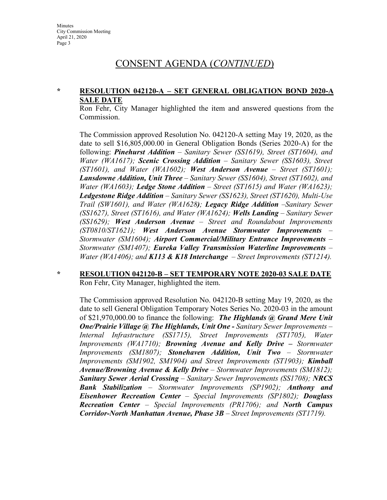### CONSENT AGENDA (*CONTINUED*)

#### **\* RESOLUTION 042120-A – SET GENERAL OBLIGATION BOND 2020-A SALE DATE**

Ron Fehr, City Manager highlighted the item and answered questions from the Commission.

The Commission approved Resolution No. 042120-A setting May 19, 2020, as the date to sell \$16,805,000.00 in General Obligation Bonds (Series 2020-A) for the following: *Pinehurst Addition – Sanitary Sewer (SS1619), Street (ST1604), and Water (WA1617); Scenic Crossing Addition – Sanitary Sewer (SS1603), Street (ST1601), and Water (WA1602); West Anderson Avenue – Street (ST1601); Lansdowne Addition, Unit Three – Sanitary Sewer (SS1604), Street (ST1602), and Water (WA1603); Ledge Stone Addition – Street (ST1615) and Water (WA1623); Ledgestone Ridge Addition – Sanitary Sewer (SS1623), Street (ST1620), Multi-Use Trail (SW1601), and Water (WA1628); Legacy Ridge Addition –Sanitary Sewer (SS1627), Street (ST1616), and Water (WA1624); Wells Landing – Sanitary Sewer (SS1629); West Anderson Avenue – Street and Roundabout Improvements (ST0810/ST1621); West Anderson Avenue Stormwater Improvements – Stormwater (SM1604); Airport Commercial/Military Entrance Improvements – Stormwater (SM1407); Eureka Valley Transmission Waterline Improvements – Water (WA1406); and K113 & K18 Interchange – Street Improvements (ST1214).*

#### **\* RESOLUTION 042120-B – SET TEMPORARY NOTE 2020-03 SALE DATE** Ron Fehr, City Manager, highlighted the item.

The Commission approved Resolution No. 042120-B setting May 19, 2020, as the date to sell General Obligation Temporary Notes Series No. 2020-03 in the amount of \$21,970,000.00 to finance the following: *The Highlands @ Grand Mere Unit One/Prairie Village @ The Highlands, Unit One - Sanitary Sewer Improvements – Internal Infrastructure (SS1715), Street Improvements (ST1705), Water Improvements (WA1710); Browning Avenue and Kelly Drive – Stormwater Improvements (SM1807); Stonehaven Addition, Unit Two – Stormwater Improvements (SM1902, SM1904) and Street Improvements (ST1903); Kimball Avenue/Browning Avenue & Kelly Drive – Stormwater Improvements (SM1812); Sanitary Sewer Aerial Crossing – Sanitary Sewer Improvements (SS1708); NRCS Bank Stabilization – Stormwater Improvements (SP1902); Anthony and Eisenhower Recreation Center – Special Improvements (SP1802); Douglass Recreation Center – Special Improvements (PR1706); and North Campus Corridor-North Manhattan Avenue, Phase 3B – Street Improvements (ST1719).*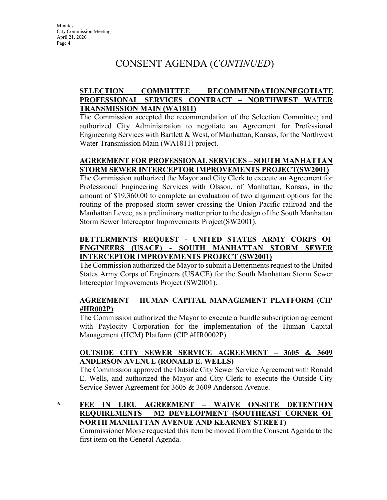# CONSENT AGENDA (*CONTINUED*)

### **SELECTION COMMITTEE RECOMMENDATION/NEGOTIATE PROFESSIONAL SERVICES CONTRACT – NORTHWEST WATER TRANSMISSION MAIN (WA1811)**

The Commission accepted the recommendation of the Selection Committee; and authorized City Administration to negotiate an Agreement for Professional Engineering Services with Bartlett & West, of Manhattan, Kansas, for the Northwest Water Transmission Main (WA1811) project.

### **AGREEMENT FOR PROFESSIONAL SERVICES – SOUTH MANHATTAN STORM SEWER INTERCEPTOR IMPROVEMENTS PROJECT(SW2001)**

The Commission authorized the Mayor and City Clerk to execute an Agreement for Professional Engineering Services with Olsson, of Manhattan, Kansas, in the amount of \$19,360.00 to complete an evaluation of two alignment options for the routing of the proposed storm sewer crossing the Union Pacific railroad and the Manhattan Levee, as a preliminary matter prior to the design of the South Manhattan Storm Sewer Interceptor Improvements Project(SW2001).

### **BETTERMENTS REQUEST - UNITED STATES ARMY CORPS OF ENGINEERS (USACE) - SOUTH MANHATTAN STORM SEWER INTERCEPTOR IMPROVEMENTS PROJECT (SW2001)**

The Commission authorized the Mayor to submit a Betterments request to the United States Army Corps of Engineers (USACE) for the South Manhattan Storm Sewer Interceptor Improvements Project (SW2001).

#### **AGREEMENT – HUMAN CAPITAL MANAGEMENT PLATFORM (CIP #HR002P)**

The Commission authorized the Mayor to execute a bundle subscription agreement with Paylocity Corporation for the implementation of the Human Capital Management (HCM) Platform (CIP #HR0002P).

### **OUTSIDE CITY SEWER SERVICE AGREEMENT – 3605 & 3609 ANDERSON AVENUE (RONALD E. WELLS)**

The Commission approved the Outside City Sewer Service Agreement with Ronald E. Wells, and authorized the Mayor and City Clerk to execute the Outside City Service Sewer Agreement for 3605 & 3609 Anderson Avenue.

**\* FEE IN LIEU AGREEMENT – WAIVE ON-SITE DETENTION REQUIREMENTS – M2 DEVELOPMENT (SOUTHEAST CORNER OF NORTH MANHATTAN AVENUE AND KEARNEY STREET)**

Commissioner Morse requested this item be moved from the Consent Agenda to the first item on the General Agenda.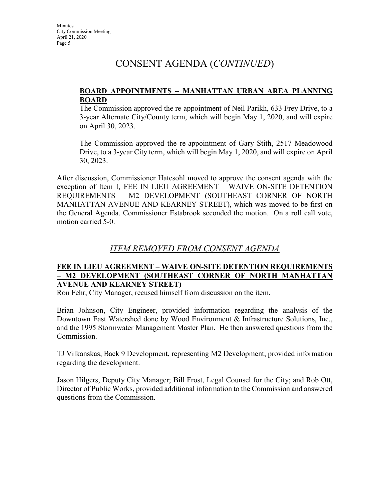### CONSENT AGENDA (*CONTINUED*)

#### **BOARD APPOINTMENTS – MANHATTAN URBAN AREA PLANNING BOARD**

The Commission approved the re-appointment of Neil Parikh, 633 Frey Drive, to a 3-year Alternate City/County term, which will begin May 1, 2020, and will expire on April 30, 2023.

The Commission approved the re-appointment of Gary Stith, 2517 Meadowood Drive, to a 3-year City term, which will begin May 1, 2020, and will expire on April 30, 2023.

After discussion, Commissioner Hatesohl moved to approve the consent agenda with the exception of Item I, FEE IN LIEU AGREEMENT – WAIVE ON-SITE DETENTION REQUIREMENTS – M2 DEVELOPMENT (SOUTHEAST CORNER OF NORTH MANHATTAN AVENUE AND KEARNEY STREET), which was moved to be first on the General Agenda. Commissioner Estabrook seconded the motion. On a roll call vote, motion carried 5-0.

### *ITEM REMOVED FROM CONSENT AGENDA*

#### **FEE IN LIEU AGREEMENT – WAIVE ON-SITE DETENTION REQUIREMENTS – M2 DEVELOPMENT (SOUTHEAST CORNER OF NORTH MANHATTAN AVENUE AND KEARNEY STREET)**

Ron Fehr, City Manager, recused himself from discussion on the item.

Brian Johnson, City Engineer, provided information regarding the analysis of the Downtown East Watershed done by Wood Environment & Infrastructure Solutions, Inc., and the 1995 Stormwater Management Master Plan. He then answered questions from the Commission.

TJ Vilkanskas, Back 9 Development, representing M2 Development, provided information regarding the development.

Jason Hilgers, Deputy City Manager; Bill Frost, Legal Counsel for the City; and Rob Ott, Director of Public Works, provided additional information to the Commission and answered questions from the Commission.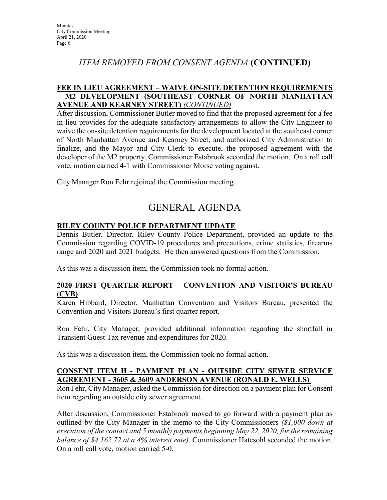### *ITEM REMOVED FROM CONSENT AGENDA* **(CONTINUED)**

### **FEE IN LIEU AGREEMENT – WAIVE ON-SITE DETENTION REQUIREMENTS – M2 DEVELOPMENT (SOUTHEAST CORNER OF NORTH MANHATTAN AVENUE AND KEARNEY STREET)** *(CONTINUED)*

After discussion, Commissioner Butler moved to find that the proposed agreement for a fee in lieu provides for the adequate satisfactory arrangements to allow the City Engineer to waive the on-site detention requirements for the development located at the southeast corner of North Manhattan Avenue and Kearney Street, and authorized City Administration to finalize, and the Mayor and City Clerk to execute, the proposed agreement with the developer of the M2 property. Commissioner Estabrook seconded the motion. On a roll call vote, motion carried 4-1 with Commissioner Morse voting against.

City Manager Ron Fehr rejoined the Commission meeting.

## GENERAL AGENDA

### **RILEY COUNTY POLICE DEPARTMENT UPDATE**

Dennis Butler, Director, Riley County Police Department, provided an update to the Commission regarding COVID-19 procedures and precautions, crime statistics, firearms range and 2020 and 2021 budgets. He then answered questions from the Commission.

As this was a discussion item, the Commission took no formal action.

#### **2020 FIRST QUARTER REPORT – CONVENTION AND VISITOR'S BUREAU (CVB)**

Karen Hibbard, Director, Manhattan Convention and Visitors Bureau, presented the Convention and Visitors Bureau's first quarter report.

Ron Fehr, City Manager, provided additional information regarding the shortfall in Transient Guest Tax revenue and expenditures for 2020.

As this was a discussion item, the Commission took no formal action.

#### **CONSENT ITEM H - PAYMENT PLAN - OUTSIDE CITY SEWER SERVICE AGREEMENT - 3605 & 3609 ANDERSON AVENUE (RONALD E. WELLS)**

Ron Fehr, City Manager, asked the Commission for direction on a payment plan for Consent item regarding an outside city sewer agreement.

After discussion, Commissioner Estabrook moved to go forward with a payment plan as outlined by the City Manager in the memo to the City Commissioners *(\$1,000 down at execution of the contact and 5 monthly payments beginning May 22, 2020, for the remaining balance of \$4,162.72 at a 4% interest rate)*. Commissioner Hatesohl seconded the motion. On a roll call vote, motion carried 5-0.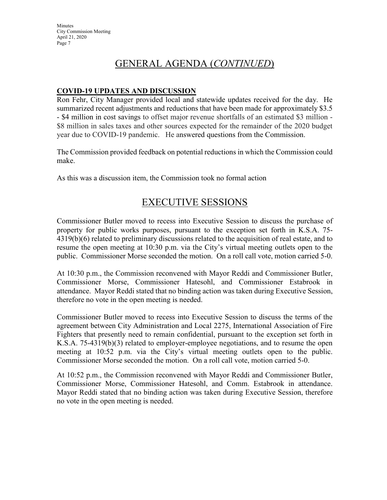# GENERAL AGENDA (*CONTINUED*)

#### **COVID-19 UPDATES AND DISCUSSION**

Ron Fehr, City Manager provided local and statewide updates received for the day. He summarized recent adjustments and reductions that have been made for approximately \$3.5 - \$4 million in cost savings to offset major revenue shortfalls of an estimated \$3 million - \$8 million in sales taxes and other sources expected for the remainder of the 2020 budget year due to COVID-19 pandemic. He answered questions from the Commission.

The Commission provided feedback on potential reductions in which the Commission could make.

As this was a discussion item, the Commission took no formal action

### EXECUTIVE SESSIONS

Commissioner Butler moved to recess into Executive Session to discuss the purchase of property for public works purposes, pursuant to the exception set forth in K.S.A. 75- 4319(b)(6) related to preliminary discussions related to the acquisition of real estate, and to resume the open meeting at 10:30 p.m. via the City's virtual meeting outlets open to the public. Commissioner Morse seconded the motion. On a roll call vote, motion carried 5-0.

At 10:30 p.m., the Commission reconvened with Mayor Reddi and Commissioner Butler, Commissioner Morse, Commissioner Hatesohl, and Commissioner Estabrook in attendance. Mayor Reddi stated that no binding action was taken during Executive Session, therefore no vote in the open meeting is needed.

Commissioner Butler moved to recess into Executive Session to discuss the terms of the agreement between City Administration and Local 2275, International Association of Fire Fighters that presently need to remain confidential, pursuant to the exception set forth in K.S.A. 75-4319(b)(3) related to employer-employee negotiations, and to resume the open meeting at 10:52 p.m. via the City's virtual meeting outlets open to the public. Commissioner Morse seconded the motion. On a roll call vote, motion carried 5-0.

At 10:52 p.m., the Commission reconvened with Mayor Reddi and Commissioner Butler, Commissioner Morse, Commissioner Hatesohl, and Comm. Estabrook in attendance. Mayor Reddi stated that no binding action was taken during Executive Session, therefore no vote in the open meeting is needed.